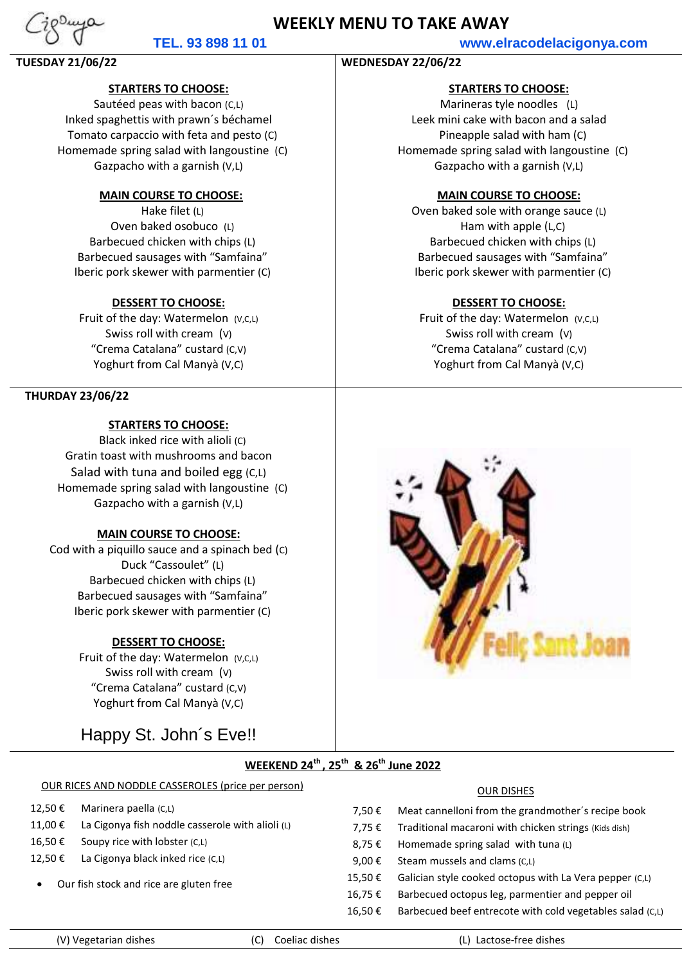# **WEEKLY MENU TO TAKE AWAY**

## **TEL. 93 898 11 01 www.elracodelacigonya.com**

## **TUESDAY 21/06/22 WEDNESDAY 22/06/22**

## **STARTERS TO CHOOSE:**

Sautéed peas with bacon (C,L) Inked spaghettis with prawn´s béchamel Tomato carpaccio with feta and pesto (C) Homemade spring salad with langoustine (C) Gazpacho with a garnish (V,L)

## **MAIN COURSE TO CHOOSE:**

Hake filet (L) Oven baked osobuco (L) Barbecued chicken with chips (L) Barbecued sausages with "Samfaina" Iberic pork skewer with parmentier (C)

## **DESSERT TO CHOOSE:**

Fruit of the day: Watermelon (V,C,L) Swiss roll with cream (V) "Crema Catalana" custard (C,V) Yoghurt from Cal Manyà (V,C)

## **THURDAY 23/06/22**

## **STARTERS TO CHOOSE:**

Black inked rice with alioli (C) Gratin toast with mushrooms and bacon Salad with tuna and boiled egg (C,L) Homemade spring salad with langoustine (C) Gazpacho with a garnish (V,L)

## **MAIN COURSE TO CHOOSE:**

Cod with a piquillo sauce and a spinach bed (C) Duck "Cassoulet" (L) Barbecued chicken with chips (L) Barbecued sausages with "Samfaina" Iberic pork skewer with parmentier (C)

### **DESSERT TO CHOOSE:**

Fruit of the day: Watermelon (V,C,L) Swiss roll with cream (V) "Crema Catalana" custard (C,V) Yoghurt from Cal Manyà (V,C)

Happy St. John´s Eve!!

## **STARTERS TO CHOOSE:**

Marineras tyle noodles (L) Leek mini cake with bacon and a salad Pineapple salad with ham (C) Homemade spring salad with langoustine (C) Gazpacho with a garnish (V,L)

### **MAIN COURSE TO CHOOSE:**

Oven baked sole with orange sauce (L) Ham with apple (L,C) Barbecued chicken with chips (L) Barbecued sausages with "Samfaina" Iberic pork skewer with parmentier (C)

### **DESSERT TO CHOOSE:**

Fruit of the day: Watermelon (V,C,L) Swiss roll with cream (V) "Crema Catalana" custard (C,V) Yoghurt from Cal Manyà (V,C)



## **WEEKEND 24th , 25th & 26th June 2022**

# OUR RICES AND NODDLE CASSEROLES (price per person) OUR DISHES

12,50 € Marinera paella (C,L)

- 11,00 € La Cigonya fish noddle casserole with alioli (L)
- 16,50 € Soupy rice with lobster  $(C, L)$
- 12,50 € La Cigonya black inked rice  $(C, L)$
- Our fish stock and rice are gluten free

| 7.50 €  | Meat cannelloni from the grandmother's recipe book        |
|---------|-----------------------------------------------------------|
| 7.75 €  | Traditional macaroni with chicken strings (Kids dish)     |
| 8.75 €  | Homemade spring salad with tuna (L)                       |
| 9,00 €  | Steam mussels and clams (C,L)                             |
| 15,50€  | Galician style cooked octopus with La Vera pepper (C,L)   |
| 16,75 € | Barbecued octopus leg, parmentier and pepper oil          |
| 16,50 € | Barbecued beef entrecote with cold vegetables salad (C,L) |

Ï